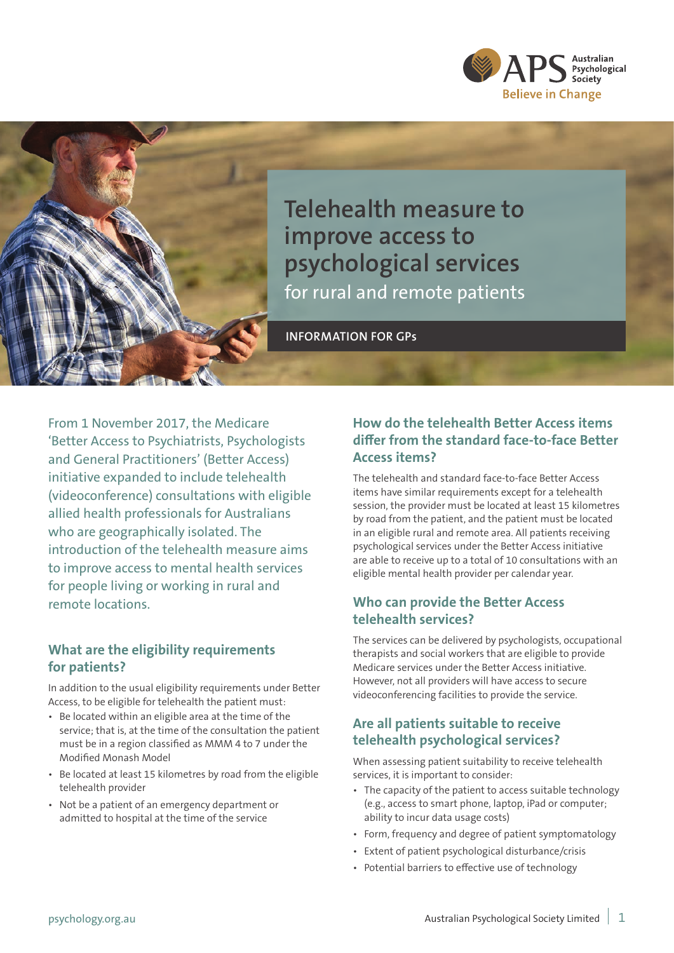



**Telehealth measure to improve access to psychological services**  for rural and remote patients

**INFORMATION FOR GPs**

From 1 November 2017, the Medicare 'Better Access to Psychiatrists, Psychologists and General Practitioners' (Better Access) initiative expanded to include telehealth (videoconference) consultations with eligible allied health professionals for Australians who are geographically isolated. The introduction of the telehealth measure aims to improve access to mental health services for people living or working in rural and remote locations.

#### **What are the eligibility requirements for patients?**

In addition to the usual eligibility requirements under Better Access, to be eligible for telehealth the patient must:

- Be located within an eligible area at the time of the service; that is, at the time of the consultation the patient must be in a region classified as MMM 4 to 7 under the Modified Monash Model
- Be located at least 15 kilometres by road from the eligible telehealth provider
- Not be a patient of an emergency department or admitted to hospital at the time of the service

## **How do the telehealth Better Access items differ from the standard face-to-face Better Access items?**

The telehealth and standard face-to-face Better Access items have similar requirements except for a telehealth session, the provider must be located at least 15 kilometres by road from the patient, and the patient must be located in an eligible rural and remote area. All patients receiving psychological services under the Better Access initiative are able to receive up to a total of 10 consultations with an eligible mental health provider per calendar year.

### **Who can provide the Better Access telehealth services?**

The services can be delivered by psychologists, occupational therapists and social workers that are eligible to provide Medicare services under the Better Access initiative. However, not all providers will have access to secure videoconferencing facilities to provide the service.

# **Are all patients suitable to receive telehealth psychological services?**

When assessing patient suitability to receive telehealth services, it is important to consider:

- The capacity of the patient to access suitable technology (e.g., access to smart phone, laptop, iPad or computer; ability to incur data usage costs)
- Form, frequency and degree of patient symptomatology
- Extent of patient psychological disturbance/crisis
- Potential barriers to effective use of technology